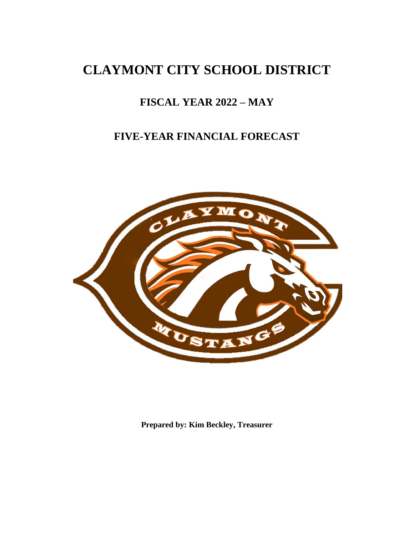# **CLAYMONT CITY SCHOOL DISTRICT**

# **FISCAL YEAR 2022 – MAY**

# **FIVE-YEAR FINANCIAL FORECAST**



**Prepared by: Kim Beckley, Treasurer**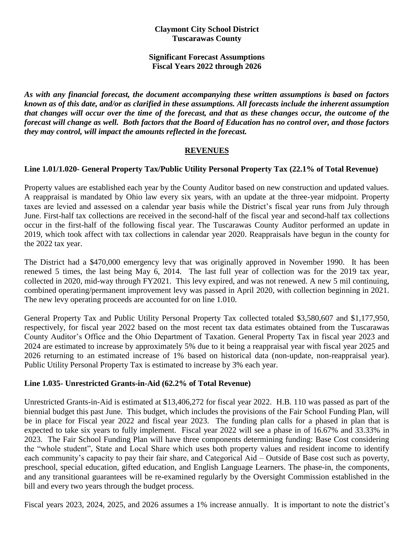#### **Claymont City School District Tuscarawas County**

#### **Significant Forecast Assumptions Fiscal Years 2022 through 2026**

*As with any financial forecast, the document accompanying these written assumptions is based on factors known as of this date, and/or as clarified in these assumptions. All forecasts include the inherent assumption that changes will occur over the time of the forecast, and that as these changes occur, the outcome of the forecast will change as well. Both factors that the Board of Education has no control over, and those factors they may control, will impact the amounts reflected in the forecast.*

#### **REVENUES**

# **Line 1.01/1.020- General Property Tax/Public Utility Personal Property Tax (22.1% of Total Revenue)**

Property values are established each year by the County Auditor based on new construction and updated values. A reappraisal is mandated by Ohio law every six years, with an update at the three-year midpoint. Property taxes are levied and assessed on a calendar year basis while the District's fiscal year runs from July through June. First-half tax collections are received in the second-half of the fiscal year and second-half tax collections occur in the first-half of the following fiscal year. The Tuscarawas County Auditor performed an update in 2019, which took affect with tax collections in calendar year 2020. Reappraisals have begun in the county for the 2022 tax year.

The District had a \$470,000 emergency levy that was originally approved in November 1990. It has been renewed 5 times, the last being May 6, 2014. The last full year of collection was for the 2019 tax year, collected in 2020, mid-way through FY2021. This levy expired, and was not renewed. A new 5 mil continuing, combined operating/permanent improvement levy was passed in April 2020, with collection beginning in 2021. The new levy operating proceeds are accounted for on line 1.010.

General Property Tax and Public Utility Personal Property Tax collected totaled \$3,580,607 and \$1,177,950, respectively, for fiscal year 2022 based on the most recent tax data estimates obtained from the Tuscarawas County Auditor's Office and the Ohio Department of Taxation. General Property Tax in fiscal year 2023 and 2024 are estimated to increase by approximately 5% due to it being a reappraisal year with fiscal year 2025 and 2026 returning to an estimated increase of 1% based on historical data (non-update, non-reappraisal year). Public Utility Personal Property Tax is estimated to increase by 3% each year.

#### **Line 1.035- Unrestricted Grants-in-Aid (62.2% of Total Revenue)**

Unrestricted Grants-in-Aid is estimated at \$13,406,272 for fiscal year 2022. H.B. 110 was passed as part of the biennial budget this past June. This budget, which includes the provisions of the Fair School Funding Plan, will be in place for Fiscal year 2022 and fiscal year 2023. The funding plan calls for a phased in plan that is expected to take six years to fully implement. Fiscal year 2022 will see a phase in of 16.67% and 33.33% in 2023. The Fair School Funding Plan will have three components determining funding: Base Cost considering the "whole student", State and Local Share which uses both property values and resident income to identify each community's capacity to pay their fair share, and Categorical Aid – Outside of Base cost such as poverty, preschool, special education, gifted education, and English Language Learners. The phase-in, the components, and any transitional guarantees will be re-examined regularly by the Oversight Commission established in the bill and every two years through the budget process.

Fiscal years 2023, 2024, 2025, and 2026 assumes a 1% increase annually. It is important to note the district's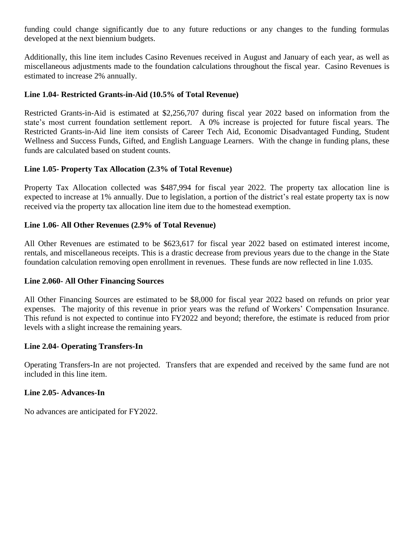funding could change significantly due to any future reductions or any changes to the funding formulas developed at the next biennium budgets.

Additionally, this line item includes Casino Revenues received in August and January of each year, as well as miscellaneous adjustments made to the foundation calculations throughout the fiscal year. Casino Revenues is estimated to increase 2% annually.

#### **Line 1.04- Restricted Grants-in-Aid (10.5% of Total Revenue)**

Restricted Grants-in-Aid is estimated at \$2,256,707 during fiscal year 2022 based on information from the state's most current foundation settlement report. A 0% increase is projected for future fiscal years. The Restricted Grants-in-Aid line item consists of Career Tech Aid, Economic Disadvantaged Funding, Student Wellness and Success Funds, Gifted, and English Language Learners. With the change in funding plans, these funds are calculated based on student counts.

# **Line 1.05- Property Tax Allocation (2.3% of Total Revenue)**

Property Tax Allocation collected was \$487,994 for fiscal year 2022. The property tax allocation line is expected to increase at 1% annually. Due to legislation, a portion of the district's real estate property tax is now received via the property tax allocation line item due to the homestead exemption.

# **Line 1.06- All Other Revenues (2.9% of Total Revenue)**

All Other Revenues are estimated to be \$623,617 for fiscal year 2022 based on estimated interest income, rentals, and miscellaneous receipts. This is a drastic decrease from previous years due to the change in the State foundation calculation removing open enrollment in revenues. These funds are now reflected in line 1.035.

#### **Line 2.060- All Other Financing Sources**

All Other Financing Sources are estimated to be \$8,000 for fiscal year 2022 based on refunds on prior year expenses. The majority of this revenue in prior years was the refund of Workers' Compensation Insurance. This refund is not expected to continue into FY2022 and beyond; therefore, the estimate is reduced from prior levels with a slight increase the remaining years.

#### **Line 2.04- Operating Transfers-In**

Operating Transfers-In are not projected. Transfers that are expended and received by the same fund are not included in this line item.

#### **Line 2.05- Advances-In**

No advances are anticipated for FY2022.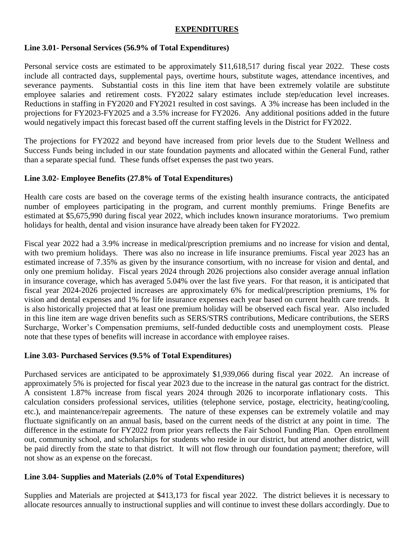### **EXPENDITURES**

#### **Line 3.01- Personal Services (56.9% of Total Expenditures)**

Personal service costs are estimated to be approximately \$11,618,517 during fiscal year 2022. These costs include all contracted days, supplemental pays, overtime hours, substitute wages, attendance incentives, and severance payments. Substantial costs in this line item that have been extremely volatile are substitute employee salaries and retirement costs. FY2022 salary estimates include step/education level increases. Reductions in staffing in FY2020 and FY2021 resulted in cost savings. A 3% increase has been included in the projections for FY2023-FY2025 and a 3.5% increase for FY2026. Any additional positions added in the future would negatively impact this forecast based off the current staffing levels in the District for FY2022.

The projections for FY2022 and beyond have increased from prior levels due to the Student Wellness and Success Funds being included in our state foundation payments and allocated within the General Fund, rather than a separate special fund. These funds offset expenses the past two years.

#### **Line 3.02- Employee Benefits (27.8% of Total Expenditures)**

Health care costs are based on the coverage terms of the existing health insurance contracts, the anticipated number of employees participating in the program, and current monthly premiums. Fringe Benefits are estimated at \$5,675,990 during fiscal year 2022, which includes known insurance moratoriums. Two premium holidays for health, dental and vision insurance have already been taken for FY2022.

Fiscal year 2022 had a 3.9% increase in medical/prescription premiums and no increase for vision and dental, with two premium holidays. There was also no increase in life insurance premiums. Fiscal year 2023 has an estimated increase of 7.35% as given by the insurance consortium, with no increase for vision and dental, and only one premium holiday. Fiscal years 2024 through 2026 projections also consider average annual inflation in insurance coverage, which has averaged 5.04% over the last five years. For that reason, it is anticipated that fiscal year 2024-2026 projected increases are approximately 6% for medical/prescription premiums, 1% for vision and dental expenses and 1% for life insurance expenses each year based on current health care trends. It is also historically projected that at least one premium holiday will be observed each fiscal year. Also included in this line item are wage driven benefits such as SERS/STRS contributions, Medicare contributions, the SERS Surcharge, Worker's Compensation premiums, self-funded deductible costs and unemployment costs. Please note that these types of benefits will increase in accordance with employee raises.

#### **Line 3.03- Purchased Services (9.5% of Total Expenditures)**

Purchased services are anticipated to be approximately \$1,939,066 during fiscal year 2022. An increase of approximately 5% is projected for fiscal year 2023 due to the increase in the natural gas contract for the district. A consistent 1.87% increase from fiscal years 2024 through 2026 to incorporate inflationary costs. This calculation considers professional services, utilities (telephone service, postage, electricity, heating/cooling, etc.), and maintenance/repair agreements. The nature of these expenses can be extremely volatile and may fluctuate significantly on an annual basis, based on the current needs of the district at any point in time. The difference in the estimate for FY2022 from prior years reflects the Fair School Funding Plan. Open enrollment out, community school, and scholarships for students who reside in our district, but attend another district, will be paid directly from the state to that district. It will not flow through our foundation payment; therefore, will not show as an expense on the forecast.

#### **Line 3.04- Supplies and Materials (2.0% of Total Expenditures)**

Supplies and Materials are projected at \$413,173 for fiscal year 2022. The district believes it is necessary to allocate resources annually to instructional supplies and will continue to invest these dollars accordingly. Due to